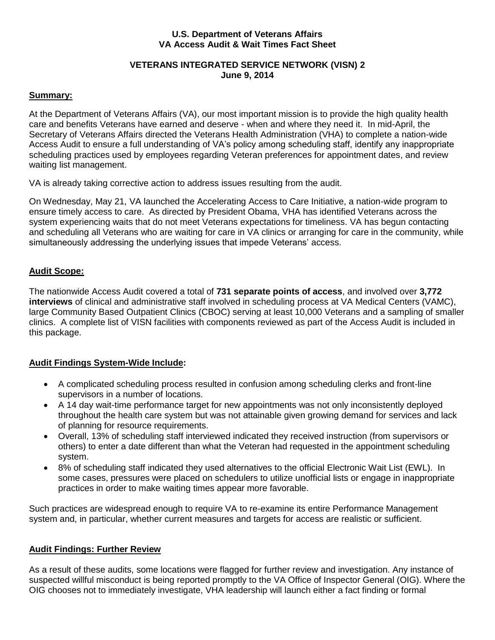### **U.S. Department of Veterans Affairs VA Access Audit & Wait Times Fact Sheet**

### **VETERANS INTEGRATED SERVICE NETWORK (VISN) 2 June 9, 2014**

### **Summary:**

At the Department of Veterans Affairs (VA), our most important mission is to provide the high quality health care and benefits Veterans have earned and deserve - when and where they need it. In mid-April, the Secretary of Veterans Affairs directed the Veterans Health Administration (VHA) to complete a nation-wide Access Audit to ensure a full understanding of VA's policy among scheduling staff, identify any inappropriate scheduling practices used by employees regarding Veteran preferences for appointment dates, and review waiting list management.

VA is already taking corrective action to address issues resulting from the audit.

On Wednesday, May 21, VA launched the Accelerating Access to Care Initiative, a nation-wide program to ensure timely access to care. As directed by President Obama, VHA has identified Veterans across the system experiencing waits that do not meet Veterans expectations for timeliness. VA has begun contacting and scheduling all Veterans who are waiting for care in VA clinics or arranging for care in the community, while simultaneously addressing the underlying issues that impede Veterans' access.

### **Audit Scope:**

The nationwide Access Audit covered a total of **731 separate points of access**, and involved over **3,772 interviews** of clinical and administrative staff involved in scheduling process at VA Medical Centers (VAMC), large Community Based Outpatient Clinics (CBOC) serving at least 10,000 Veterans and a sampling of smaller clinics. A complete list of VISN facilities with components reviewed as part of the Access Audit is included in this package.

# **Audit Findings System-Wide Include:**

- A complicated scheduling process resulted in confusion among scheduling clerks and front-line supervisors in a number of locations.
- A 14 day wait-time performance target for new appointments was not only inconsistently deployed throughout the health care system but was not attainable given growing demand for services and lack of planning for resource requirements.
- Overall, 13% of scheduling staff interviewed indicated they received instruction (from supervisors or others) to enter a date different than what the Veteran had requested in the appointment scheduling system.
- 8% of scheduling staff indicated they used alternatives to the official Electronic Wait List (EWL). In some cases, pressures were placed on schedulers to utilize unofficial lists or engage in inappropriate practices in order to make waiting times appear more favorable.

Such practices are widespread enough to require VA to re-examine its entire Performance Management system and, in particular, whether current measures and targets for access are realistic or sufficient.

# **Audit Findings: Further Review**

As a result of these audits, some locations were flagged for further review and investigation. Any instance of suspected willful misconduct is being reported promptly to the VA Office of Inspector General (OIG). Where the OIG chooses not to immediately investigate, VHA leadership will launch either a fact finding or formal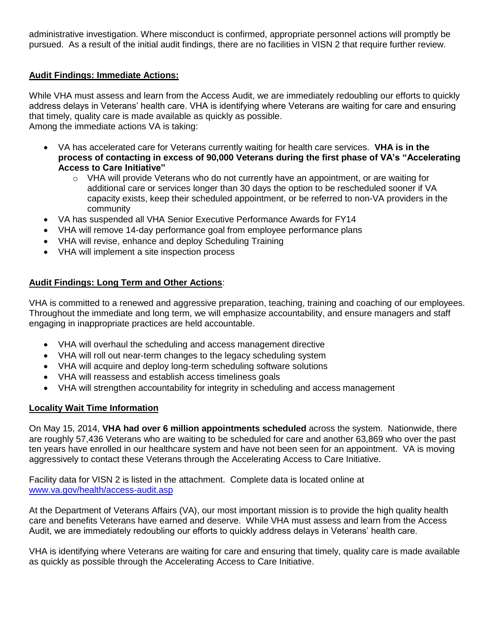administrative investigation. Where misconduct is confirmed, appropriate personnel actions will promptly be pursued. As a result of the initial audit findings, there are no facilities in VISN 2 that require further review.

### **Audit Findings: Immediate Actions:**

While VHA must assess and learn from the Access Audit, we are immediately redoubling our efforts to quickly address delays in Veterans' health care. VHA is identifying where Veterans are waiting for care and ensuring that timely, quality care is made available as quickly as possible. Among the immediate actions VA is taking:

- VA has accelerated care for Veterans currently waiting for health care services. **VHA is in the process of contacting in excess of 90,000 Veterans during the first phase of VA's "Accelerating Access to Care Initiative"**
	- $\circ$  VHA will provide Veterans who do not currently have an appointment, or are waiting for additional care or services longer than 30 days the option to be rescheduled sooner if VA capacity exists, keep their scheduled appointment, or be referred to non-VA providers in the community
- VA has suspended all VHA Senior Executive Performance Awards for FY14
- VHA will remove 14-day performance goal from employee performance plans
- VHA will revise, enhance and deploy Scheduling Training
- VHA will implement a site inspection process

# **Audit Findings: Long Term and Other Actions**:

VHA is committed to a renewed and aggressive preparation, teaching, training and coaching of our employees. Throughout the immediate and long term, we will emphasize accountability, and ensure managers and staff engaging in inappropriate practices are held accountable.

- VHA will overhaul the scheduling and access management directive
- VHA will roll out near-term changes to the legacy scheduling system
- VHA will acquire and deploy long-term scheduling software solutions
- VHA will reassess and establish access timeliness goals
- VHA will strengthen accountability for integrity in scheduling and access management

### **Locality Wait Time Information**

On May 15, 2014, **VHA had over 6 million appointments scheduled** across the system. Nationwide, there are roughly 57,436 Veterans who are waiting to be scheduled for care and another 63,869 who over the past ten years have enrolled in our healthcare system and have not been seen for an appointment. VA is moving aggressively to contact these Veterans through the Accelerating Access to Care Initiative.

Facility data for VISN 2 is listed in the attachment. Complete data is located online at [www.va.gov/health/access-audit.asp](http://www.va.gov/health/access-audit.asp)

At the Department of Veterans Affairs (VA), our most important mission is to provide the high quality health care and benefits Veterans have earned and deserve. While VHA must assess and learn from the Access Audit, we are immediately redoubling our efforts to quickly address delays in Veterans' health care.

VHA is identifying where Veterans are waiting for care and ensuring that timely, quality care is made available as quickly as possible through the Accelerating Access to Care Initiative.